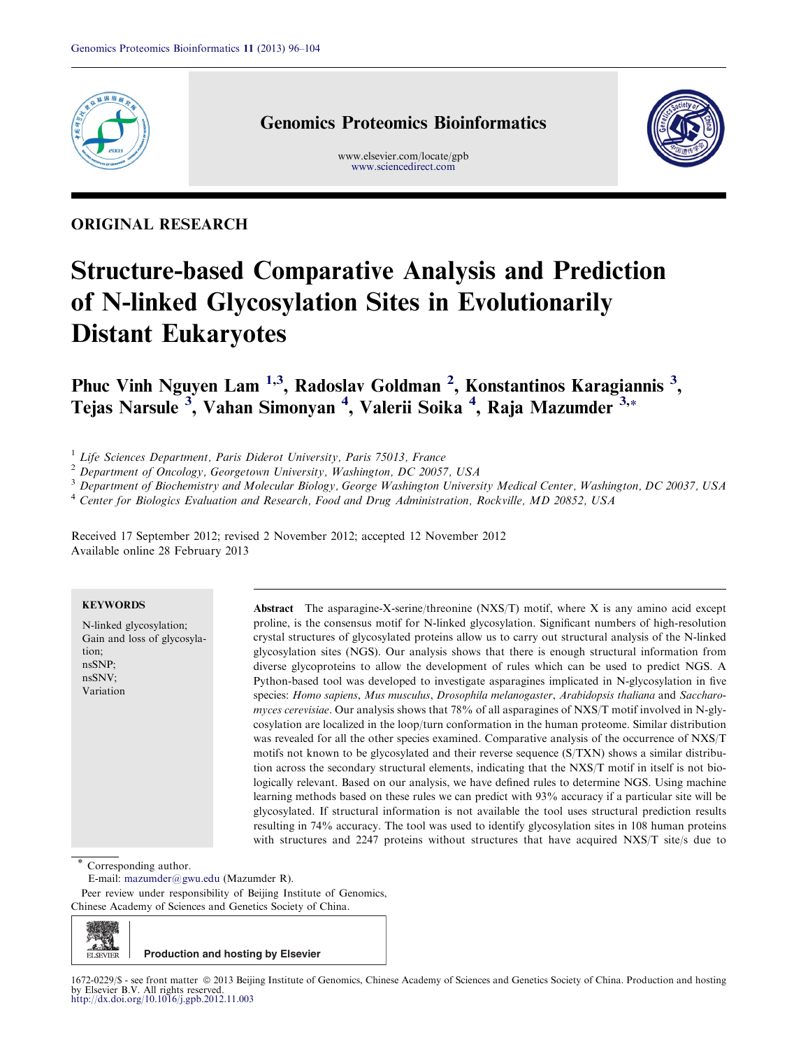

# Genomics Proteomics Bioinformatics

www.elsevier.com/locate/gpb [www.sciencedirect.com](http://www.sciencedirect.com)



# ORIGINAL RESEARCH

# Structure-based Comparative Analysis and Prediction of N-linked Glycosylation Sites in Evolutionarily Distant Eukaryotes

Phuc Vinh Nguyen Lam<sup>1,3</sup>, Radoslav Goldman<sup>2</sup>, Konstantinos Karagiannis<sup>3</sup>, Tejas Narsule <sup>3</sup>, Vahan Simonyan <sup>4</sup>, Valerii Soika <sup>4</sup>, Raja Mazumder <sup>3,\*</sup>

<sup>1</sup> Life Sciences Department, Paris Diderot University, Paris 75013, France

<sup>2</sup> Department of Oncology, Georgetown University, Washington, DC 20057, USA

<sup>3</sup> Department of Biochemistry and Molecular Biology, George Washington University Medical Center, Washington, DC 20037, USA

<sup>4</sup> Center for Biologics Evaluation and Research, Food and Drug Administration, Rockville, MD 20852, USA

Received 17 September 2012; revised 2 November 2012; accepted 12 November 2012 Available online 28 February 2013

# **KEYWORDS**

N-linked glycosylation; Gain and loss of glycosylation; nsSNP; nsSNV; Variation

Abstract The asparagine-X-serine/threonine (NXS/T) motif, where X is any amino acid except proline, is the consensus motif for N-linked glycosylation. Significant numbers of high-resolution crystal structures of glycosylated proteins allow us to carry out structural analysis of the N-linked glycosylation sites (NGS). Our analysis shows that there is enough structural information from diverse glycoproteins to allow the development of rules which can be used to predict NGS. A Python-based tool was developed to investigate asparagines implicated in N-glycosylation in five species: Homo sapiens, Mus musculus, Drosophila melanogaster, Arabidopsis thaliana and Saccharomyces cerevisiae. Our analysis shows that 78% of all asparagines of NXS/T motif involved in N-glycosylation are localized in the loop/turn conformation in the human proteome. Similar distribution was revealed for all the other species examined. Comparative analysis of the occurrence of NXS/T motifs not known to be glycosylated and their reverse sequence (S/TXN) shows a similar distribution across the secondary structural elements, indicating that the NXS/T motif in itself is not biologically relevant. Based on our analysis, we have defined rules to determine NGS. Using machine learning methods based on these rules we can predict with 93% accuracy if a particular site will be glycosylated. If structural information is not available the tool uses structural prediction results resulting in 74% accuracy. The tool was used to identify glycosylation sites in 108 human proteins with structures and 2247 proteins without structures that have acquired NXS/T site/s due to

Corresponding author.

E-mail: [mazumder@gwu.edu](mailto:mazumder@gwu.edu) (Mazumder R).

Peer review under responsibility of Beijing Institute of Genomics, Chinese Academy of Sciences and Genetics Society of China.

ELSEVIER **Production and hosting by Elsevier**

1672-0229/\$ - see front matter ª 2013 Beijing Institute of Genomics, Chinese Academy of Sciences and Genetics Society of China. Production and hosting by Elsevier B.V. All rights reserved. <http://dx.doi.org/10.1016/j.gpb.2012.11.003>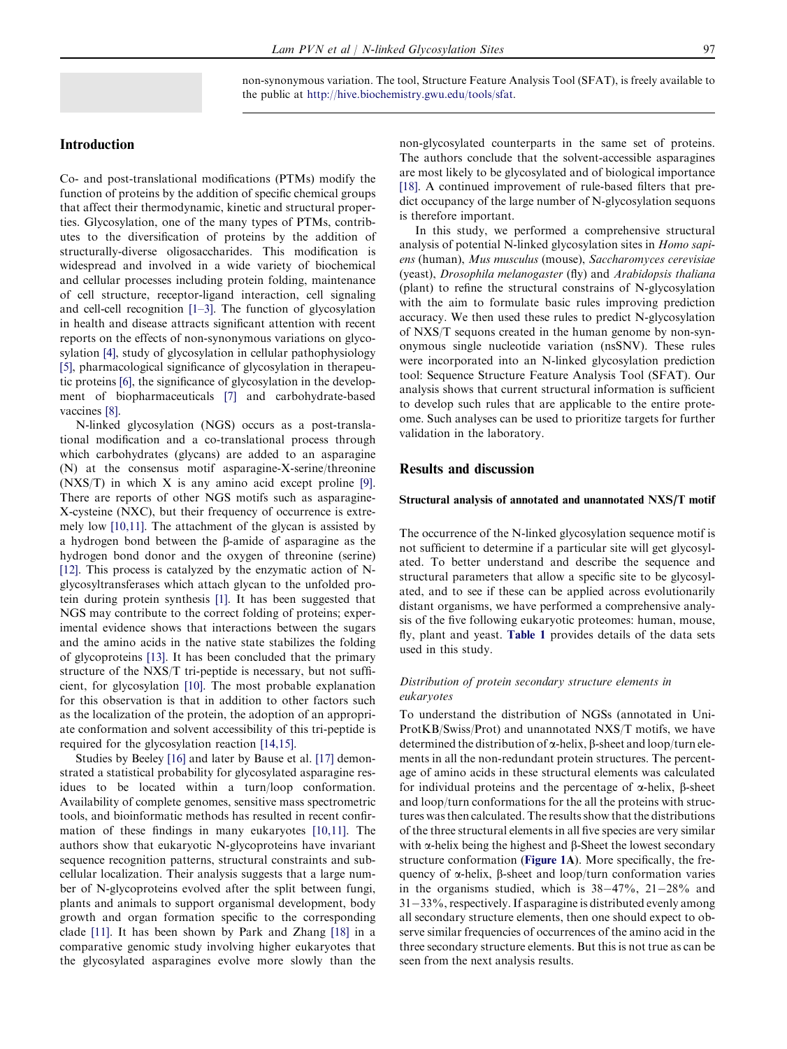non-synonymous variation. The tool, Structure Feature Analysis Tool (SFAT), is freely available to the public at <http://hive.biochemistry.gwu.edu/tools/sfat>.

### Introduction

Co- and post-translational modifications (PTMs) modify the function of proteins by the addition of specific chemical groups that affect their thermodynamic, kinetic and structural properties. Glycosylation, one of the many types of PTMs, contributes to the diversification of proteins by the addition of structurally-diverse oligosaccharides. This modification is widespread and involved in a wide variety of biochemical and cellular processes including protein folding, maintenance of cell structure, receptor-ligand interaction, cell signaling and cell-cell recognition [\[1–3\]](#page-7-0). The function of glycosylation in health and disease attracts significant attention with recent reports on the effects of non-synonymous variations on glycosylation [\[4\],](#page-7-0) study of glycosylation in cellular pathophysiology [\[5\],](#page-7-0) pharmacological significance of glycosylation in therapeutic proteins [\[6\],](#page-7-0) the significance of glycosylation in the development of biopharmaceuticals [\[7\]](#page-7-0) and carbohydrate-based vaccines [\[8\]](#page-7-0).

N-linked glycosylation (NGS) occurs as a post-translational modification and a co-translational process through which carbohydrates (glycans) are added to an asparagine (N) at the consensus motif asparagine-X-serine/threonine (NXS/T) in which X is any amino acid except proline [\[9\]](#page-7-0). There are reports of other NGS motifs such as asparagine-X-cysteine (NXC), but their frequency of occurrence is extremely low [\[10,11\]](#page-7-0). The attachment of the glycan is assisted by a hydrogen bond between the  $\beta$ -amide of asparagine as the hydrogen bond donor and the oxygen of threonine (serine) [\[12\]](#page-7-0). This process is catalyzed by the enzymatic action of Nglycosyltransferases which attach glycan to the unfolded protein during protein synthesis [\[1\]](#page-7-0). It has been suggested that NGS may contribute to the correct folding of proteins; experimental evidence shows that interactions between the sugars and the amino acids in the native state stabilizes the folding of glycoproteins [\[13\]](#page-7-0). It has been concluded that the primary structure of the NXS/T tri-peptide is necessary, but not sufficient, for glycosylation [\[10\]](#page-7-0). The most probable explanation for this observation is that in addition to other factors such as the localization of the protein, the adoption of an appropriate conformation and solvent accessibility of this tri-peptide is required for the glycosylation reaction [\[14,15\]](#page-7-0).

Studies by Beeley [\[16\]](#page-7-0) and later by Bause et al. [\[17\]](#page-7-0) demonstrated a statistical probability for glycosylated asparagine residues to be located within a turn/loop conformation. Availability of complete genomes, sensitive mass spectrometric tools, and bioinformatic methods has resulted in recent confirmation of these findings in many eukaryotes [\[10,11\].](#page-7-0) The authors show that eukaryotic N-glycoproteins have invariant sequence recognition patterns, structural constraints and subcellular localization. Their analysis suggests that a large number of N-glycoproteins evolved after the split between fungi, plants and animals to support organismal development, body growth and organ formation specific to the corresponding clade [\[11\].](#page-7-0) It has been shown by Park and Zhang [\[18\]](#page-7-0) in a comparative genomic study involving higher eukaryotes that the glycosylated asparagines evolve more slowly than the non-glycosylated counterparts in the same set of proteins. The authors conclude that the solvent-accessible asparagines are most likely to be glycosylated and of biological importance [\[18\]](#page-7-0). A continued improvement of rule-based filters that predict occupancy of the large number of N-glycosylation sequons is therefore important.

In this study, we performed a comprehensive structural analysis of potential N-linked glycosylation sites in Homo sapiens (human), Mus musculus (mouse), Saccharomyces cerevisiae (yeast), Drosophila melanogaster (fly) and Arabidopsis thaliana (plant) to refine the structural constrains of N-glycosylation with the aim to formulate basic rules improving prediction accuracy. We then used these rules to predict N-glycosylation of NXS/T sequons created in the human genome by non-synonymous single nucleotide variation (nsSNV). These rules were incorporated into an N-linked glycosylation prediction tool: Sequence Structure Feature Analysis Tool (SFAT). Our analysis shows that current structural information is sufficient to develop such rules that are applicable to the entire proteome. Such analyses can be used to prioritize targets for further validation in the laboratory.

# Results and discussion

#### Structural analysis of annotated and unannotated NXS/T motif

The occurrence of the N-linked glycosylation sequence motif is not sufficient to determine if a particular site will get glycosylated. To better understand and describe the sequence and structural parameters that allow a specific site to be glycosylated, and to see if these can be applied across evolutionarily distant organisms, we have performed a comprehensive analysis of the five following eukaryotic proteomes: human, mouse, fly, plant and yeast. [Table 1](#page-2-0) provides details of the data sets used in this study.

#### Distribution of protein secondary structure elements in eukaryotes

To understand the distribution of NGSs (annotated in Uni-ProtKB/Swiss/Prot) and unannotated NXS/T motifs, we have determined the distribution of  $\alpha$ -helix,  $\beta$ -sheet and loop/turn elements in all the non-redundant protein structures. The percentage of amino acids in these structural elements was calculated for individual proteins and the percentage of  $\alpha$ -helix,  $\beta$ -sheet and loop/turn conformations for the all the proteins with structures was then calculated. The results show that the distributions of the three structural elements in all five species are very similar with  $\alpha$ -helix being the highest and  $\beta$ -Sheet the lowest secondary structure conformation ([Figure 1A](#page-2-0)). More specifically, the frequency of  $\alpha$ -helix,  $\beta$ -sheet and loop/turn conformation varies in the organisms studied, which is  $38-47\%$ ,  $21-28\%$  and 31-33%, respectively. If asparagine is distributed evenly among all secondary structure elements, then one should expect to observe similar frequencies of occurrences of the amino acid in the three secondary structure elements. But this is not true as can be seen from the next analysis results.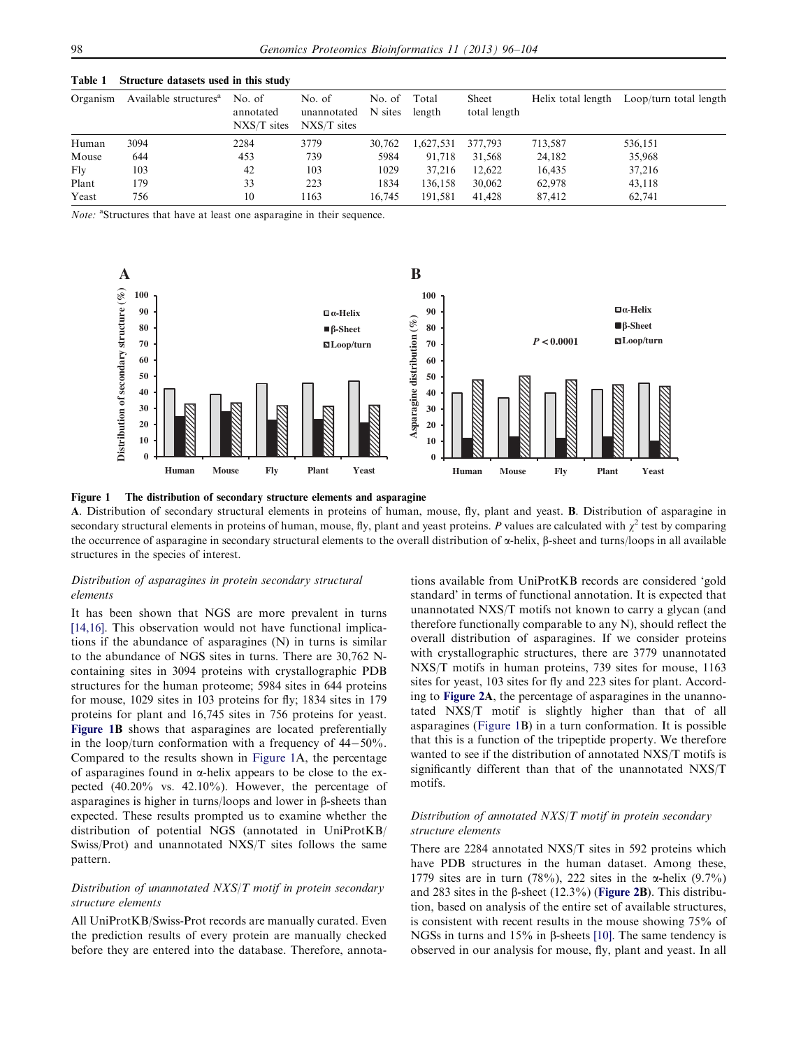| Organism | Available structures <sup>a</sup> | No. of<br>annotated<br>NXS/T sites | No. of<br>unannotated<br>NXS/T sites | No. of<br>N sites | Total<br>length | Sheet<br>total length |         | Helix total length Loop/turn total length |
|----------|-----------------------------------|------------------------------------|--------------------------------------|-------------------|-----------------|-----------------------|---------|-------------------------------------------|
| Human    | 3094                              | 2284                               | 3779                                 | 30.762            | 1,627,531       | 377,793               | 713,587 | 536,151                                   |
| Mouse    | 644                               | 453                                | 739                                  | 5984              | 91.718          | 31.568                | 24,182  | 35,968                                    |
| Fly      | 103                               | 42                                 | 103                                  | 1029              | 37.216          | 12.622                | 16.435  | 37,216                                    |
| Plant    | 179                               | 33                                 | 223                                  | 1834              | 136.158         | 30,062                | 62,978  | 43,118                                    |
| Yeast    | 756                               | 10                                 | 163                                  | 16.745            | 191.581         | 41.428                | 87.412  | 62,741                                    |

#### <span id="page-2-0"></span>Table 1 Structure datasets used in this study

Note: <sup>a</sup>Structures that have at least one asparagine in their sequence.





A. Distribution of secondary structural elements in proteins of human, mouse, fly, plant and yeast. B. Distribution of asparagine in secondary structural elements in proteins of human, mouse, fly, plant and yeast proteins. P values are calculated with  $\chi^2$  test by comparing the occurrence of asparagine in secondary structural elements to the overall distribution of  $\alpha$ -helix,  $\beta$ -sheet and turns/loops in all available structures in the species of interest.

#### Distribution of asparagines in protein secondary structural elements

It has been shown that NGS are more prevalent in turns [\[14,16\].](#page-7-0) This observation would not have functional implications if the abundance of asparagines (N) in turns is similar to the abundance of NGS sites in turns. There are 30,762 Ncontaining sites in 3094 proteins with crystallographic PDB structures for the human proteome; 5984 sites in 644 proteins for mouse, 1029 sites in 103 proteins for fly; 1834 sites in 179 proteins for plant and 16,745 sites in 756 proteins for yeast. Figure 1B shows that asparagines are located preferentially in the loop/turn conformation with a frequency of 44-50%. Compared to the results shown in Figure 1A, the percentage of asparagines found in  $\alpha$ -helix appears to be close to the expected (40.20% vs. 42.10%). However, the percentage of asparagines is higher in turns/loops and lower in  $\beta$ -sheets than expected. These results prompted us to examine whether the distribution of potential NGS (annotated in UniProtKB/ Swiss/Prot) and unannotated NXS/T sites follows the same pattern.

#### Distribution of unannotated NXS/T motif in protein secondary structure elements

All UniProtKB/Swiss-Prot records are manually curated. Even the prediction results of every protein are manually checked before they are entered into the database. Therefore, annota-

tions available from UniProtKB records are considered 'gold standard' in terms of functional annotation. It is expected that unannotated NXS/T motifs not known to carry a glycan (and therefore functionally comparable to any N), should reflect the overall distribution of asparagines. If we consider proteins with crystallographic structures, there are 3779 unannotated NXS/T motifs in human proteins, 739 sites for mouse, 1163 sites for yeast, 103 sites for fly and 223 sites for plant. According to [Figure 2A](#page-3-0), the percentage of asparagines in the unannotated NXS/T motif is slightly higher than that of all asparagines (Figure 1B) in a turn conformation. It is possible that this is a function of the tripeptide property. We therefore wanted to see if the distribution of annotated NXS/T motifs is significantly different than that of the unannotated NXS/T motifs.

### Distribution of annotated NXS/T motif in protein secondary structure elements

There are 2284 annotated NXS/T sites in 592 proteins which have PDB structures in the human dataset. Among these, 1779 sites are in turn (78%), 222 sites in the  $\alpha$ -helix (9.7%) and 283 sites in the  $\beta$ -sheet (12.3%) ([Figure 2](#page-3-0)B). This distribution, based on analysis of the entire set of available structures, is consistent with recent results in the mouse showing 75% of NGSs in turns and  $15\%$  in  $\beta$ -sheets [\[10\]](#page-7-0). The same tendency is observed in our analysis for mouse, fly, plant and yeast. In all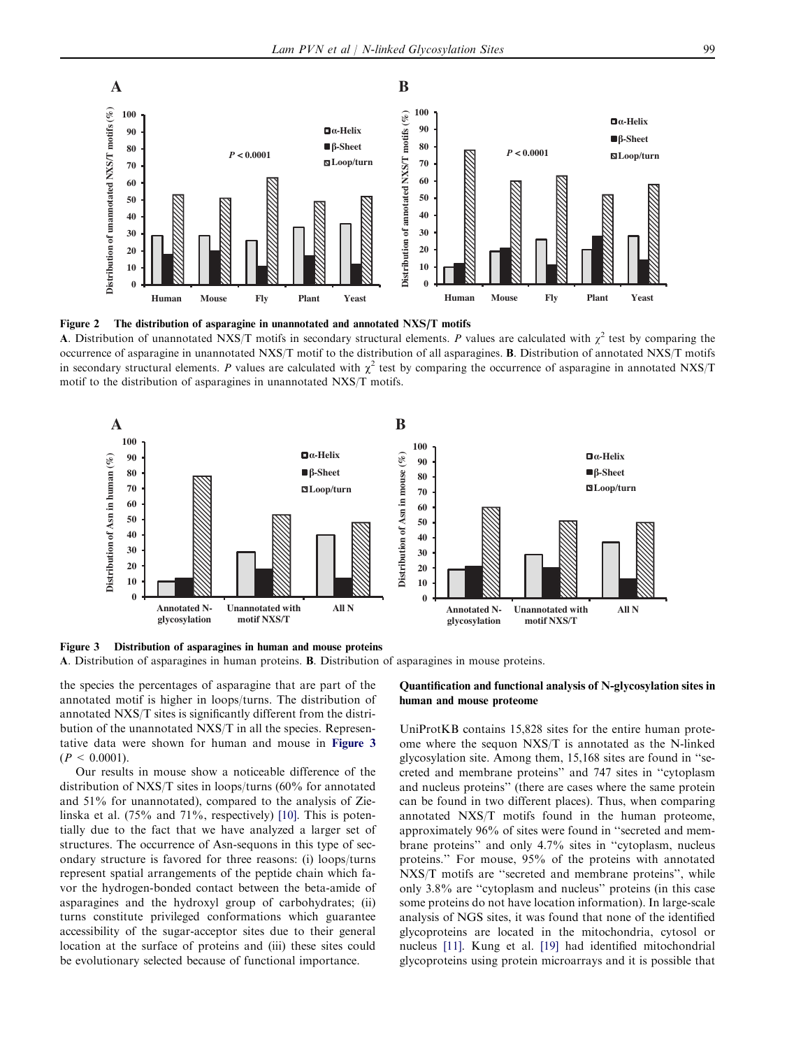<span id="page-3-0"></span>

Figure 2 The distribution of asparagine in unannotated and annotated NXS/T motifs

A. Distribution of unannotated NXS/T motifs in secondary structural elements. P values are calculated with  $\gamma^2$  test by comparing the occurrence of asparagine in unannotated NXS/T motif to the distribution of all asparagines. B. Distribution of annotated NXS/T motifs in secondary structural elements. P values are calculated with  $\chi^2$  test by comparing the occurrence of asparagine in annotated NXS/T motif to the distribution of asparagines in unannotated NXS/T motifs.



Figure 3 Distribution of asparagines in human and mouse proteins

A. Distribution of asparagines in human proteins. B. Distribution of asparagines in mouse proteins.

the species the percentages of asparagine that are part of the annotated motif is higher in loops/turns. The distribution of annotated NXS/T sites is significantly different from the distribution of the unannotated NXS/T in all the species. Representative data were shown for human and mouse in Figure 3  $(P < 0.0001)$ .

Our results in mouse show a noticeable difference of the distribution of NXS/T sites in loops/turns (60% for annotated and 51% for unannotated), compared to the analysis of Zielinska et al. (75% and 71%, respectively) [\[10\].](#page-7-0) This is potentially due to the fact that we have analyzed a larger set of structures. The occurrence of Asn-sequons in this type of secondary structure is favored for three reasons: (i) loops/turns represent spatial arrangements of the peptide chain which favor the hydrogen-bonded contact between the beta-amide of asparagines and the hydroxyl group of carbohydrates; (ii) turns constitute privileged conformations which guarantee accessibility of the sugar-acceptor sites due to their general location at the surface of proteins and (iii) these sites could be evolutionary selected because of functional importance.

#### Quantification and functional analysis of N-glycosylation sites in human and mouse proteome

UniProtKB contains 15,828 sites for the entire human proteome where the sequon NXS/T is annotated as the N-linked glycosylation site. Among them, 15,168 sites are found in ''secreted and membrane proteins'' and 747 sites in ''cytoplasm and nucleus proteins'' (there are cases where the same protein can be found in two different places). Thus, when comparing annotated NXS/T motifs found in the human proteome, approximately 96% of sites were found in ''secreted and membrane proteins'' and only 4.7% sites in ''cytoplasm, nucleus proteins.'' For mouse, 95% of the proteins with annotated NXS/T motifs are ''secreted and membrane proteins'', while only 3.8% are ''cytoplasm and nucleus'' proteins (in this case some proteins do not have location information). In large-scale analysis of NGS sites, it was found that none of the identified glycoproteins are located in the mitochondria, cytosol or nucleus [\[11\].](#page-7-0) Kung et al. [\[19\]](#page-7-0) had identified mitochondrial glycoproteins using protein microarrays and it is possible that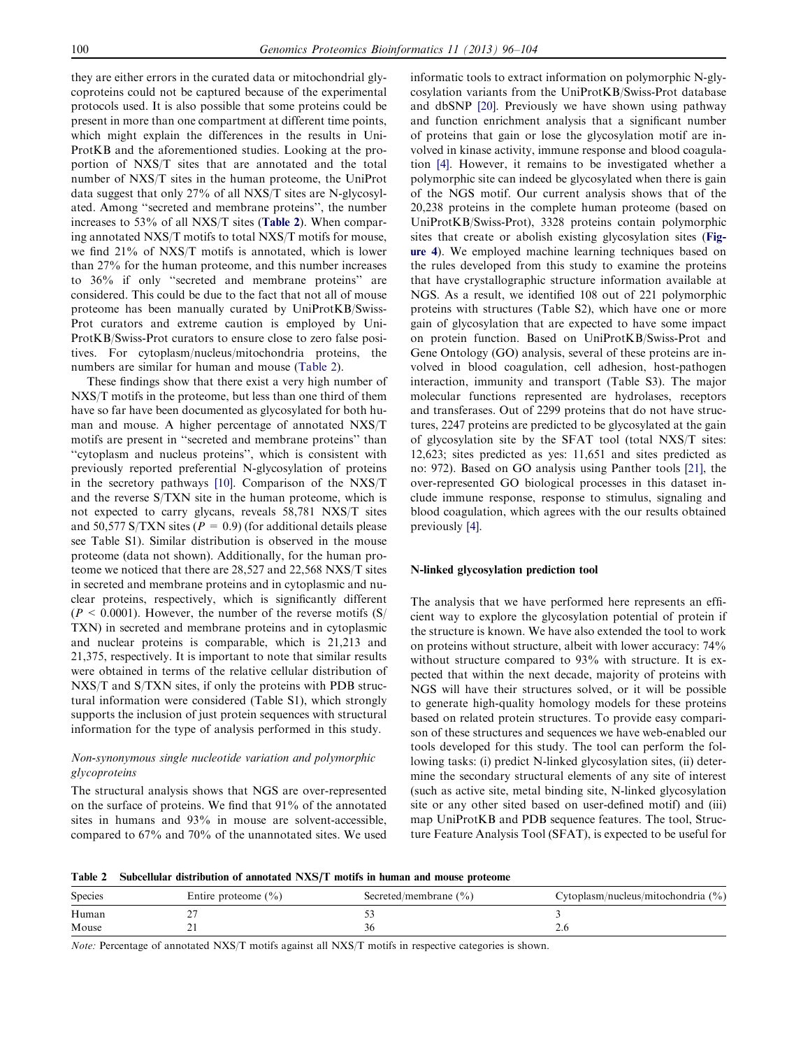they are either errors in the curated data or mitochondrial glycoproteins could not be captured because of the experimental protocols used. It is also possible that some proteins could be present in more than one compartment at different time points, which might explain the differences in the results in Uni-ProtKB and the aforementioned studies. Looking at the proportion of NXS/T sites that are annotated and the total number of NXS/T sites in the human proteome, the UniProt data suggest that only 27% of all NXS/T sites are N-glycosylated. Among ''secreted and membrane proteins'', the number increases to 53% of all NXS/T sites (Table 2). When comparing annotated NXS/T motifs to total NXS/T motifs for mouse, we find 21% of NXS/T motifs is annotated, which is lower than 27% for the human proteome, and this number increases to 36% if only ''secreted and membrane proteins'' are considered. This could be due to the fact that not all of mouse proteome has been manually curated by UniProtKB/Swiss-Prot curators and extreme caution is employed by Uni-ProtKB/Swiss-Prot curators to ensure close to zero false positives. For cytoplasm/nucleus/mitochondria proteins, the numbers are similar for human and mouse (Table 2).

These findings show that there exist a very high number of NXS/T motifs in the proteome, but less than one third of them have so far have been documented as glycosylated for both human and mouse. A higher percentage of annotated NXS/T motifs are present in ''secreted and membrane proteins'' than ''cytoplasm and nucleus proteins'', which is consistent with previously reported preferential N-glycosylation of proteins in the secretory pathways [\[10\]](#page-7-0). Comparison of the NXS/T and the reverse S/TXN site in the human proteome, which is not expected to carry glycans, reveals 58,781 NXS/T sites and 50,577 S/TXN sites ( $P = 0.9$ ) (for additional details please see Table S1). Similar distribution is observed in the mouse proteome (data not shown). Additionally, for the human proteome we noticed that there are 28,527 and 22,568 NXS/T sites in secreted and membrane proteins and in cytoplasmic and nuclear proteins, respectively, which is significantly different  $(P \le 0.0001)$ . However, the number of the reverse motifs  $(S/N)$ TXN) in secreted and membrane proteins and in cytoplasmic and nuclear proteins is comparable, which is 21,213 and 21,375, respectively. It is important to note that similar results were obtained in terms of the relative cellular distribution of NXS/T and S/TXN sites, if only the proteins with PDB structural information were considered (Table S1), which strongly supports the inclusion of just protein sequences with structural information for the type of analysis performed in this study.

#### Non-synonymous single nucleotide variation and polymorphic glycoproteins

The structural analysis shows that NGS are over-represented on the surface of proteins. We find that 91% of the annotated sites in humans and 93% in mouse are solvent-accessible, compared to 67% and 70% of the unannotated sites. We used informatic tools to extract information on polymorphic N-glycosylation variants from the UniProtKB/Swiss-Prot database and dbSNP [\[20\]](#page-8-0). Previously we have shown using pathway and function enrichment analysis that a significant number of proteins that gain or lose the glycosylation motif are involved in kinase activity, immune response and blood coagulation [\[4\]](#page-7-0). However, it remains to be investigated whether a polymorphic site can indeed be glycosylated when there is gain of the NGS motif. Our current analysis shows that of the 20,238 proteins in the complete human proteome (based on UniProtKB/Swiss-Prot), 3328 proteins contain polymorphic sites that create or abolish existing glycosylation sites (Figure 4). We employed machine learning techniques based on the rules developed from this study to examine the proteins that have crystallographic structure information available at NGS. As a result, we identified 108 out of 221 polymorphic proteins with structures (Table S2), which have one or more gain of glycosylation that are expected to have some impact on protein function. Based on UniProtKB/Swiss-Prot and Gene Ontology (GO) analysis, several of these proteins are involved in blood coagulation, cell adhesion, host-pathogen interaction, immunity and transport (Table S3). The major molecular functions represented are hydrolases, receptors and transferases. Out of 2299 proteins that do not have structures, 2247 proteins are predicted to be glycosylated at the gain of glycosylation site by the SFAT tool (total NXS/T sites: 12,623; sites predicted as yes: 11,651 and sites predicted as no: 972). Based on GO analysis using Panther tools [\[21\]](#page-8-0), the over-represented GO biological processes in this dataset include immune response, response to stimulus, signaling and blood coagulation, which agrees with the our results obtained previously [\[4\].](#page-7-0)

#### N-linked glycosylation prediction tool

The analysis that we have performed here represents an efficient way to explore the glycosylation potential of protein if the structure is known. We have also extended the tool to work on proteins without structure, albeit with lower accuracy: 74% without structure compared to 93% with structure. It is expected that within the next decade, majority of proteins with NGS will have their structures solved, or it will be possible to generate high-quality homology models for these proteins based on related protein structures. To provide easy comparison of these structures and sequences we have web-enabled our tools developed for this study. The tool can perform the following tasks: (i) predict N-linked glycosylation sites, (ii) determine the secondary structural elements of any site of interest (such as active site, metal binding site, N-linked glycosylation site or any other sited based on user-defined motif) and (iii) map UniProtKB and PDB sequence features. The tool, Structure Feature Analysis Tool (SFAT), is expected to be useful for

Table 2 Subcellular distribution of annotated NXS/T motifs in human and mouse proteome

| <b>Species</b> | Entire proteome $(\% )$ | Secreted/membrane $(\% )$ | Cytoplasm/nucleus/mitochondria (%) |
|----------------|-------------------------|---------------------------|------------------------------------|
| Human          |                         |                           |                                    |
| Mouse          |                         |                           |                                    |

Note: Percentage of annotated NXS/T motifs against all NXS/T motifs in respective categories is shown.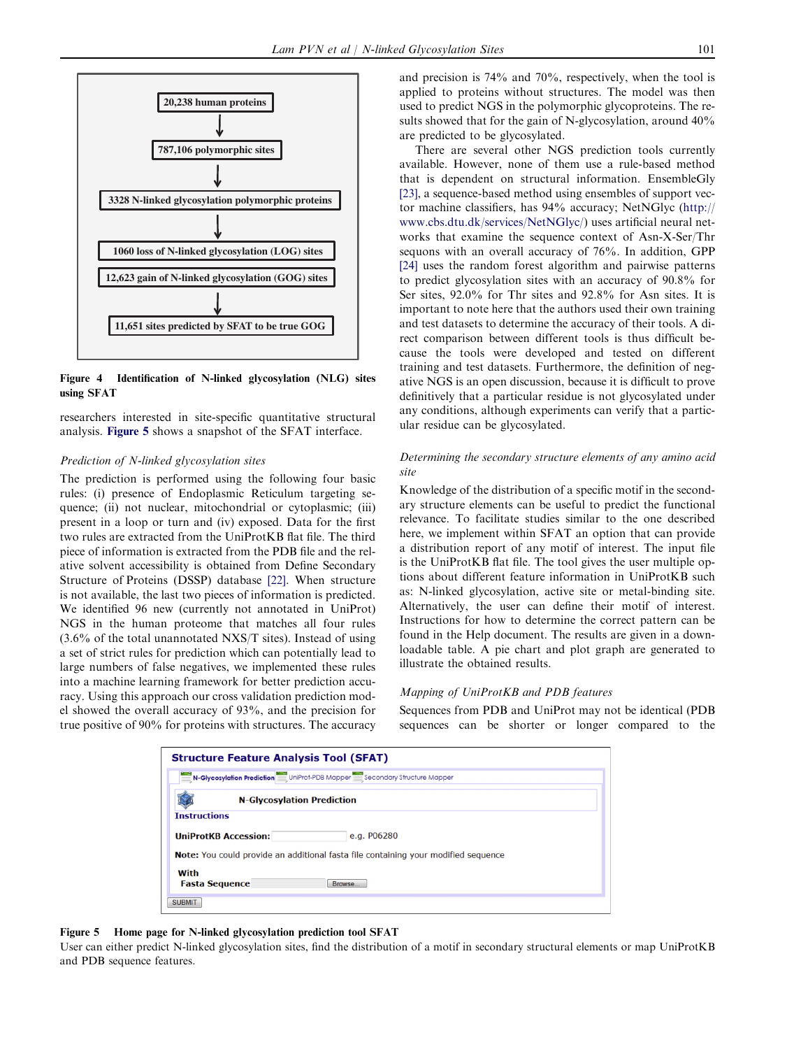

Figure 4 Identification of N-linked glycosylation (NLG) sites using SFAT

researchers interested in site-specific quantitative structural analysis. Figure 5 shows a snapshot of the SFAT interface.

#### Prediction of N-linked glycosylation sites

The prediction is performed using the following four basic rules: (i) presence of Endoplasmic Reticulum targeting sequence; (ii) not nuclear, mitochondrial or cytoplasmic; (iii) present in a loop or turn and (iv) exposed. Data for the first two rules are extracted from the UniProtKB flat file. The third piece of information is extracted from the PDB file and the relative solvent accessibility is obtained from Define Secondary Structure of Proteins (DSSP) database [\[22\]](#page-8-0). When structure is not available, the last two pieces of information is predicted. We identified 96 new (currently not annotated in UniProt) NGS in the human proteome that matches all four rules  $(3.6\%$  of the total unannotated NXS/T sites). Instead of using a set of strict rules for prediction which can potentially lead to large numbers of false negatives, we implemented these rules into a machine learning framework for better prediction accuracy. Using this approach our cross validation prediction model showed the overall accuracy of 93%, and the precision for true positive of 90% for proteins with structures. The accuracy and precision is 74% and 70%, respectively, when the tool is applied to proteins without structures. The model was then used to predict NGS in the polymorphic glycoproteins. The results showed that for the gain of N-glycosylation, around 40% are predicted to be glycosylated.

There are several other NGS prediction tools currently available. However, none of them use a rule-based method that is dependent on structural information. EnsembleGly [\[23\]](#page-8-0), a sequence-based method using ensembles of support vector machine classifiers, has 94% accuracy; NetNGlyc [\(http://](http://www.cbs.dtu.dk/services/NetNGlyc/) [www.cbs.dtu.dk/services/NetNGlyc/\)](http://www.cbs.dtu.dk/services/NetNGlyc/) uses artificial neural networks that examine the sequence context of Asn-X-Ser/Thr sequons with an overall accuracy of 76%. In addition, GPP [\[24\]](#page-8-0) uses the random forest algorithm and pairwise patterns to predict glycosylation sites with an accuracy of 90.8% for Ser sites, 92.0% for Thr sites and 92.8% for Asn sites. It is important to note here that the authors used their own training and test datasets to determine the accuracy of their tools. A direct comparison between different tools is thus difficult because the tools were developed and tested on different training and test datasets. Furthermore, the definition of negative NGS is an open discussion, because it is difficult to prove definitively that a particular residue is not glycosylated under any conditions, although experiments can verify that a particular residue can be glycosylated.

## Determining the secondary structure elements of any amino acid site

Knowledge of the distribution of a specific motif in the secondary structure elements can be useful to predict the functional relevance. To facilitate studies similar to the one described here, we implement within SFAT an option that can provide a distribution report of any motif of interest. The input file is the UniProtKB flat file. The tool gives the user multiple options about different feature information in UniProtKB such as: N-linked glycosylation, active site or metal-binding site. Alternatively, the user can define their motif of interest. Instructions for how to determine the correct pattern can be found in the Help document. The results are given in a downloadable table. A pie chart and plot graph are generated to illustrate the obtained results.

# Mapping of UniProtKB and PDB features

Sequences from PDB and UniProt may not be identical (PDB sequences can be shorter or longer compared to the

| <b>Structure Feature Analysis Tool (SFAT)</b>                                             |  |  |  |  |  |
|-------------------------------------------------------------------------------------------|--|--|--|--|--|
| N-Glycosylation Prediction UniProt-PDB Mapper Secondary Structure Mapper                  |  |  |  |  |  |
| <b>N-Glycosylation Prediction</b>                                                         |  |  |  |  |  |
| <b>Instructions</b>                                                                       |  |  |  |  |  |
| <b>UniProtKB Accession:</b><br>e.g. P06280                                                |  |  |  |  |  |
| <b>Note:</b> You could provide an additional fasta file containing your modified sequence |  |  |  |  |  |
| With<br><b>Fasta Sequence</b><br>Browse                                                   |  |  |  |  |  |
| <b>SUBMIT</b>                                                                             |  |  |  |  |  |

#### Figure 5 Home page for N-linked glycosylation prediction tool SFAT

User can either predict N-linked glycosylation sites, find the distribution of a motif in secondary structural elements or map UniProtKB and PDB sequence features.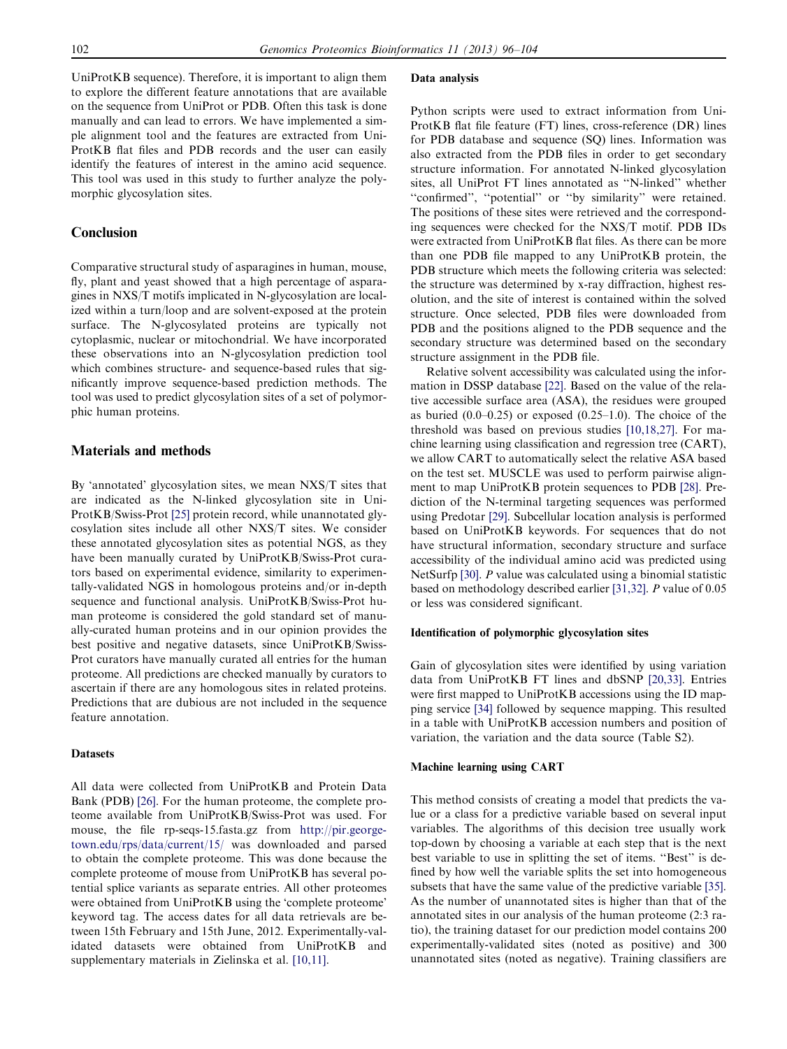UniProtKB sequence). Therefore, it is important to align them to explore the different feature annotations that are available on the sequence from UniProt or PDB. Often this task is done manually and can lead to errors. We have implemented a simple alignment tool and the features are extracted from Uni-ProtKB flat files and PDB records and the user can easily identify the features of interest in the amino acid sequence. This tool was used in this study to further analyze the polymorphic glycosylation sites.

#### Conclusion

Comparative structural study of asparagines in human, mouse, fly, plant and yeast showed that a high percentage of asparagines in NXS/T motifs implicated in N-glycosylation are localized within a turn/loop and are solvent-exposed at the protein surface. The N-glycosylated proteins are typically not cytoplasmic, nuclear or mitochondrial. We have incorporated these observations into an N-glycosylation prediction tool which combines structure- and sequence-based rules that significantly improve sequence-based prediction methods. The tool was used to predict glycosylation sites of a set of polymorphic human proteins.

#### Materials and methods

By 'annotated' glycosylation sites, we mean NXS/T sites that are indicated as the N-linked glycosylation site in Uni-ProtKB/Swiss-Prot [\[25\]](#page-8-0) protein record, while unannotated glycosylation sites include all other NXS/T sites. We consider these annotated glycosylation sites as potential NGS, as they have been manually curated by UniProtKB/Swiss-Prot curators based on experimental evidence, similarity to experimentally-validated NGS in homologous proteins and/or in-depth sequence and functional analysis. UniProtKB/Swiss-Prot human proteome is considered the gold standard set of manually-curated human proteins and in our opinion provides the best positive and negative datasets, since UniProtKB/Swiss-Prot curators have manually curated all entries for the human proteome. All predictions are checked manually by curators to ascertain if there are any homologous sites in related proteins. Predictions that are dubious are not included in the sequence feature annotation.

#### **Datasets**

All data were collected from UniProtKB and Protein Data Bank (PDB) [\[26\].](#page-8-0) For the human proteome, the complete proteome available from UniProtKB/Swiss-Prot was used. For mouse, the file rp-seqs-15.fasta.gz from [http://pir.george](http://pir.georgetown.edu/rps/data/current/15/)[town.edu/rps/data/current/15/](http://pir.georgetown.edu/rps/data/current/15/) was downloaded and parsed to obtain the complete proteome. This was done because the complete proteome of mouse from UniProtKB has several potential splice variants as separate entries. All other proteomes were obtained from UniProtKB using the 'complete proteome' keyword tag. The access dates for all data retrievals are between 15th February and 15th June, 2012. Experimentally-validated datasets were obtained from UniProtKB and supplementary materials in Zielinska et al. [\[10,11\].](#page-7-0)

#### Data analysis

Python scripts were used to extract information from Uni-ProtKB flat file feature (FT) lines, cross-reference (DR) lines for PDB database and sequence (SQ) lines. Information was also extracted from the PDB files in order to get secondary structure information. For annotated N-linked glycosylation sites, all UniProt FT lines annotated as ''N-linked'' whether ''confirmed'', ''potential'' or ''by similarity'' were retained. The positions of these sites were retrieved and the corresponding sequences were checked for the NXS/T motif. PDB IDs were extracted from UniProtKB flat files. As there can be more than one PDB file mapped to any UniProtKB protein, the PDB structure which meets the following criteria was selected: the structure was determined by x-ray diffraction, highest resolution, and the site of interest is contained within the solved structure. Once selected, PDB files were downloaded from PDB and the positions aligned to the PDB sequence and the secondary structure was determined based on the secondary structure assignment in the PDB file.

Relative solvent accessibility was calculated using the information in DSSP database [\[22\].](#page-8-0) Based on the value of the relative accessible surface area (ASA), the residues were grouped as buried  $(0.0-0.25)$  or exposed  $(0.25-1.0)$ . The choice of the threshold was based on previous studies [\[10,18,27\].](#page-7-0) For machine learning using classification and regression tree (CART), we allow CART to automatically select the relative ASA based on the test set. MUSCLE was used to perform pairwise alignment to map UniProtKB protein sequences to PDB [\[28\].](#page-8-0) Prediction of the N-terminal targeting sequences was performed using Predotar [\[29\].](#page-8-0) Subcellular location analysis is performed based on UniProtKB keywords. For sequences that do not have structural information, secondary structure and surface accessibility of the individual amino acid was predicted using NetSurfp [\[30\]](#page-8-0). P value was calculated using a binomial statistic based on methodology described earlier [\[31,32\].](#page-8-0) P value of 0.05 or less was considered significant.

#### Identification of polymorphic glycosylation sites

Gain of glycosylation sites were identified by using variation data from UniProtKB FT lines and dbSNP [\[20,33\]](#page-8-0). Entries were first mapped to UniProtKB accessions using the ID mapping service [\[34\]](#page-8-0) followed by sequence mapping. This resulted in a table with UniProtKB accession numbers and position of variation, the variation and the data source (Table S2).

#### Machine learning using CART

This method consists of creating a model that predicts the value or a class for a predictive variable based on several input variables. The algorithms of this decision tree usually work top-down by choosing a variable at each step that is the next best variable to use in splitting the set of items. ''Best'' is defined by how well the variable splits the set into homogeneous subsets that have the same value of the predictive variable [\[35\]](#page-8-0). As the number of unannotated sites is higher than that of the annotated sites in our analysis of the human proteome (2:3 ratio), the training dataset for our prediction model contains 200 experimentally-validated sites (noted as positive) and 300 unannotated sites (noted as negative). Training classifiers are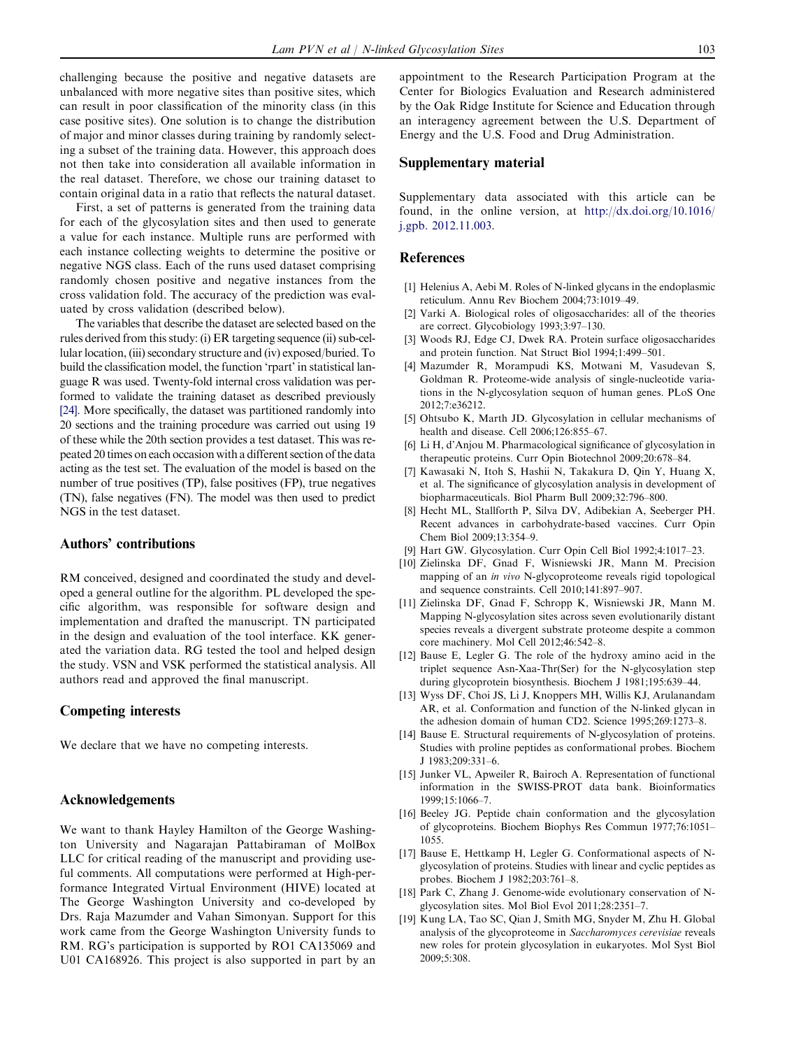<span id="page-7-0"></span>challenging because the positive and negative datasets are unbalanced with more negative sites than positive sites, which can result in poor classification of the minority class (in this case positive sites). One solution is to change the distribution of major and minor classes during training by randomly selecting a subset of the training data. However, this approach does not then take into consideration all available information in the real dataset. Therefore, we chose our training dataset to contain original data in a ratio that reflects the natural dataset.

First, a set of patterns is generated from the training data for each of the glycosylation sites and then used to generate a value for each instance. Multiple runs are performed with each instance collecting weights to determine the positive or negative NGS class. Each of the runs used dataset comprising randomly chosen positive and negative instances from the cross validation fold. The accuracy of the prediction was evaluated by cross validation (described below).

The variables that describe the dataset are selected based on the rules derived from this study: (i) ER targeting sequence (ii) sub-cellular location, (iii) secondary structure and (iv) exposed/buried. To build the classification model, the function 'rpart' in statistical language R was used. Twenty-fold internal cross validation was performed to validate the training dataset as described previously [\[24\]](#page-8-0). More specifically, the dataset was partitioned randomly into 20 sections and the training procedure was carried out using 19 of these while the 20th section provides a test dataset. This was repeated 20 times on each occasion with a different section of the data acting as the test set. The evaluation of the model is based on the number of true positives (TP), false positives (FP), true negatives (TN), false negatives (FN). The model was then used to predict NGS in the test dataset.

# Authors' contributions

RM conceived, designed and coordinated the study and developed a general outline for the algorithm. PL developed the specific algorithm, was responsible for software design and implementation and drafted the manuscript. TN participated in the design and evaluation of the tool interface. KK generated the variation data. RG tested the tool and helped design the study. VSN and VSK performed the statistical analysis. All authors read and approved the final manuscript.

#### Competing interests

We declare that we have no competing interests.

#### Acknowledgements

We want to thank Hayley Hamilton of the George Washington University and Nagarajan Pattabiraman of MolBox LLC for critical reading of the manuscript and providing useful comments. All computations were performed at High-performance Integrated Virtual Environment (HIVE) located at The George Washington University and co-developed by Drs. Raja Mazumder and Vahan Simonyan. Support for this work came from the George Washington University funds to RM. RG's participation is supported by RO1 CA135069 and U01 CA168926. This project is also supported in part by an appointment to the Research Participation Program at the Center for Biologics Evaluation and Research administered by the Oak Ridge Institute for Science and Education through an interagency agreement between the U.S. Department of Energy and the U.S. Food and Drug Administration.

### Supplementary material

Supplementary data associated with this article can be found, in the online version, at [http://dx.doi.org/10.1016/](http://dx.doi.org/10.1016/j.gpb.2012.11.003) [j.gpb. 2012.11.003](http://dx.doi.org/10.1016/j.gpb.2012.11.003).

#### References

- [1] Helenius A, Aebi M. Roles of N-linked glycans in the endoplasmic reticulum. Annu Rev Biochem 2004;73:1019–49.
- [2] Varki A. Biological roles of oligosaccharides: all of the theories are correct. Glycobiology 1993;3:97–130.
- [3] Woods RJ, Edge CJ, Dwek RA. Protein surface oligosaccharides and protein function. Nat Struct Biol 1994;1:499–501.
- [4] Mazumder R, Morampudi KS, Motwani M, Vasudevan S, Goldman R. Proteome-wide analysis of single-nucleotide variations in the N-glycosylation sequon of human genes. PLoS One 2012;7:e36212.
- [5] Ohtsubo K, Marth JD. Glycosylation in cellular mechanisms of health and disease. Cell 2006;126:855–67.
- [6] Li H, d'Anjou M. Pharmacological significance of glycosylation in therapeutic proteins. Curr Opin Biotechnol 2009;20:678–84.
- [7] Kawasaki N, Itoh S, Hashii N, Takakura D, Qin Y, Huang X, et al. The significance of glycosylation analysis in development of biopharmaceuticals. Biol Pharm Bull 2009;32:796–800.
- [8] Hecht ML, Stallforth P, Silva DV, Adibekian A, Seeberger PH. Recent advances in carbohydrate-based vaccines. Curr Opin Chem Biol 2009;13:354–9.
- [9] Hart GW. Glycosylation. Curr Opin Cell Biol 1992;4:1017–23.
- [10] Zielinska DF, Gnad F, Wisniewski JR, Mann M. Precision mapping of an in vivo N-glycoproteome reveals rigid topological and sequence constraints. Cell 2010;141:897–907.
- [11] Zielinska DF, Gnad F, Schropp K, Wisniewski JR, Mann M. Mapping N-glycosylation sites across seven evolutionarily distant species reveals a divergent substrate proteome despite a common core machinery. Mol Cell 2012;46:542–8.
- [12] Bause E, Legler G. The role of the hydroxy amino acid in the triplet sequence Asn-Xaa-Thr(Ser) for the N-glycosylation step during glycoprotein biosynthesis. Biochem J 1981;195:639–44.
- [13] Wyss DF, Choi JS, Li J, Knoppers MH, Willis KJ, Arulanandam AR, et al. Conformation and function of the N-linked glycan in the adhesion domain of human CD2. Science 1995;269:1273–8.
- [14] Bause E. Structural requirements of N-glycosylation of proteins. Studies with proline peptides as conformational probes. Biochem J 1983;209:331–6.
- [15] Junker VL, Apweiler R, Bairoch A. Representation of functional information in the SWISS-PROT data bank. Bioinformatics  $1999.15.1066 - 7$
- [16] Beeley JG. Peptide chain conformation and the glycosylation of glycoproteins. Biochem Biophys Res Commun 1977;76:1051– 1055.
- [17] Bause E, Hettkamp H, Legler G. Conformational aspects of Nglycosylation of proteins. Studies with linear and cyclic peptides as probes. Biochem J 1982;203:761–8.
- [18] Park C, Zhang J. Genome-wide evolutionary conservation of Nglycosylation sites. Mol Biol Evol 2011;28:2351–7.
- [19] Kung LA, Tao SC, Qian J, Smith MG, Snyder M, Zhu H. Global analysis of the glycoproteome in Saccharomyces cerevisiae reveals new roles for protein glycosylation in eukaryotes. Mol Syst Biol 2009;5:308.